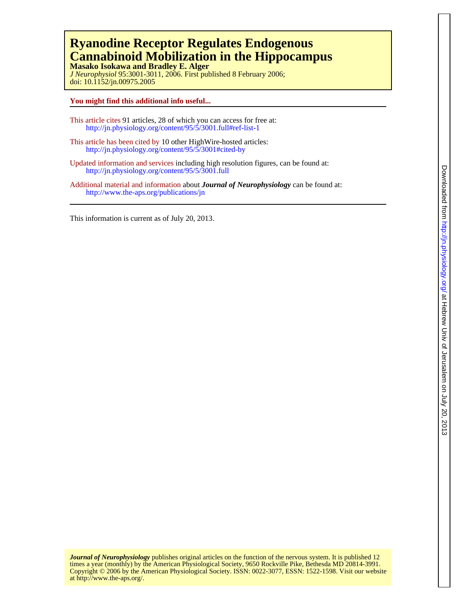# **Cannabinoid Mobilization in the Hippocampus Ryanodine Receptor Regulates Endogenous**

doi: 10.1152/jn.00975.2005 *J Neurophysiol* 95:3001-3011, 2006. First published 8 February 2006; **Masako Isokawa and Bradley E. Alger**

## **You might find this additional info useful...**

- This article cites 91 articles, 28 of which you can access for free at: http://jn.physiology.org/content/95/5/3001.full#ref-list-1
- This article has been cited by 10 other HighWire-hosted articles: <http://jn.physiology.org/content/95/5/3001#cited-by>
- Updated information and services including high resolution figures, can be found at: http://jn.physiology.org/content/95/5/3001.full
- Additional material and information about *Journal of Neurophysiology* can be found at: http://www.the-aps.org/publications/jn

This information is current as of July 20, 2013.

at http://www.the-aps.org/. Copyright © 2006 by the American Physiological Society. ISSN: 0022-3077, ESSN: 1522-1598. Visit our website times a year (monthly) by the American Physiological Society, 9650 Rockville Pike, Bethesda MD 20814-3991. *Journal of Neurophysiology* publishes original articles on the function of the nervous system. It is published 12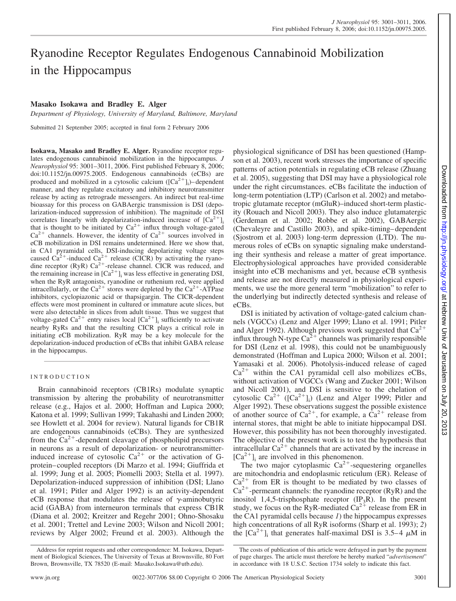# Ryanodine Receptor Regulates Endogenous Cannabinoid Mobilization in the Hippocampus

# **Masako Isokawa and Bradley E. Alger**

*Department of Physiology, University of Maryland, Baltimore, Maryland*

Submitted 21 September 2005; accepted in final form 2 February 2006

**Isokawa, Masako and Bradley E. Alger.** Ryanodine receptor regulates endogenous cannabinoid mobilization in the hippocampus. *J Neurophysiol* 95: 3001–3011, 2006. First published February 8, 2006; doi:10.1152/jn.00975.2005. Endogenous cannabinoids (eCBs) are produced and mobilized in a cytosolic calcium  $([Ca<sup>2+</sup>]<sub>i</sub>)-$  dependent manner, and they regulate excitatory and inhibitory neurotransmitter release by acting as retrograde messengers. An indirect but real-time bioassay for this process on GABAergic transmission is DSI (depolarization-induced suppression of inhibition). The magnitude of DSI correlates linearly with depolarization-induced increase of  $[Ca^{2+}]$ <sub>i</sub> that is thought to be initiated by  $Ca^{2+}$  influx through voltage-gated  $Ca^{2+}$  channels. However, the identity of  $Ca^{2+}$  sources involved in eCB mobilization in DSI remains undetermined. Here we show that, in CA1 pyramidal cells, DSI-inducing depolarizing voltage steps caused  $Ca^{2+}$ -induced  $Ca^{2+}$  release (CICR) by activating the ryanodine receptor (RyR)  $Ca^{2+}$ -release channel. CICR was reduced, and the remaining increase in  $\lbrack Ca^{2+}\rbrack$  was less effective in generating DSI, when the RyR antagonists, ryanodine or ruthenium red, were applied intracellularly, or the  $Ca^{2+}$  stores were depleted by the  $Ca^{2+}-ATP$ ase inhibitors, cyclopiazonic acid or thapsigargin. The CICR-dependent effects were most prominent in cultured or immature acute slices, but were also detectable in slices from adult tissue. Thus we suggest that voltage-gated Ca<sup>2+</sup> entry raises local  $[Ca^{2+}]$ <sub>i</sub> sufficiently to activate nearby RyRs and that the resulting CICR plays a critical role in initiating eCB mobilization. RyR may be a key molecule for the depolarization-induced production of eCBs that inhibit GABA release in the hippocampus.

#### INTRODUCTION

Brain cannabinoid receptors (CB1Rs) modulate synaptic transmission by altering the probability of neurotransmitter release (e.g., Hajos et al. 2000; Hoffman and Lupica 2000; Katona et al. 1999; Sullivan 1999; Takahashi and Linden 2000; see Howlett et al. 2004 for review). Natural ligands for CB1R are endogenous cannabinoids (eCBs). They are synthesized from the  $Ca^{2+}$ -dependent cleavage of phospholipid precursors in neurons as a result of depolarization- or neurotransmitterinduced increase of cytosolic  $Ca^{2+}$  or the activation of Gprotein– coupled receptors (Di Marzo et al. 1994; Giuffrida et al. 1999; Jung et al. 2005; Piomelli 2003; Stella et al. 1997). Depolarization-induced suppression of inhibition (DSI; Llano et al. 1991; Pitler and Alger 1992) is an activity-dependent eCB response that modulates the release of  $\gamma$ -aminobutyric acid (GABA) from interneuron terminals that express CB1R (Diana et al. 2002; Kreitzer and Regehr 2001; Ohno-Shosaku et al. 2001; Trettel and Levine 2003; Wilson and Nicoll 2001; reviews by Alger 2002; Freund et al. 2003). Although the

physiological significance of DSI has been questioned (Hampson et al. 2003), recent work stresses the importance of specific patterns of action potentials in regulating eCB release (Zhuang et al. 2005), suggesting that DSI may have a physiological role under the right circumstances. eCBs facilitate the induction of long-term potentiation (LTP) (Carlson et al. 2002) and metabotropic glutamate receptor (mGluR)–induced short-term plasticity (Rouach and Nicoll 2003). They also induce glutamatergic (Gerdeman et al. 2002; Robbe et al. 2002), GABAergic (Chevaleyre and Castillo 2003), and spike-timing– dependent (Sjostrom et al. 2003) long-term depression (LTD). The numerous roles of eCBs on synaptic signaling make understanding their synthesis and release a matter of great importance. Electrophysiological approaches have provided considerable insight into eCB mechanisms and yet, because eCB synthesis and release are not directly measured in physiological experiments, we use the more general term "mobilization" to refer to the underlying but indirectly detected synthesis and release of eCBs.

DSI is initiated by activation of voltage-gated calcium channels (VGCCs) (Lenz and Alger 1999; Llano et al. 1991; Pitler and Alger 1992). Although previous work suggested that  $Ca^{2+}$ influx through N-type  $Ca^{2+}$  channels was primarily responsible for DSI (Lenz et al. 1998), this could not be unambiguously demonstrated (Hoffman and Lupica 2000; Wilson et al. 2001; Yamasaki et al. 2006). Photolysis-induced release of caged  $Ca^{2+}$  within the CA1 pyramidal cell also mobilizes eCBs, without activation of VGCCs (Wang and Zucker 2001; Wilson and Nicoll 2001), and DSI is sensitive to the chelation of cytosolic  $Ca^{2+}$  ([ $Ca^{2+}$ ]<sub>i</sub>) (Lenz and Alger 1999; Pitler and Alger 1992). These observations suggest the possible existence of another source of  $Ca^{2+}$ , for example, a  $Ca^{2+}$  release from internal stores, that might be able to initiate hippocampal DSI. However, this possibility has not been thoroughly investigated. The objective of the present work is to test the hypothesis that intracellular  $Ca^{2+}$  channels that are activated by the increase in  $[Ca^{2+}]$ <sub>i</sub> are involved in this phenomenon.

The two major cytoplasmic  $Ca^{2+}$ -sequestering organelles are mitochondria and endoplasmic reticulum (ER). Release of  $Ca^{2+}$  from ER is thought to be mediated by two classes of  $Ca^{2+}$ -permeant channels: the ryanodine receptor (RyR) and the inositol 1,4,5-trisphosphate receptor  $(\text{IP}_3\text{R})$ . In the present study, we focus on the RyR-mediated  $Ca^{2+}$  release from ER in the CA1 pyramidal cells because *1*) the hippocampus expresses high concentrations of all RyR isoforms (Sharp et al. 1993); *2*) the  $[Ca^{2+}]$ <sub>i</sub> that generates half-maximal DSI is 3.5–4  $\mu$ M in

Address for reprint requests and other correspondence: M. Isokawa, Department of Biological Sciences, The University of Texas at Brownsville, 80 Fort Brown, Brownsville, TX 78520 (E-mail: Masako.Isokawa@utb.edu).

The costs of publication of this article were defrayed in part by the payment of page charges. The article must therefore be hereby marked "*advertisement*" in accordance with 18 U.S.C. Section 1734 solely to indicate this fact.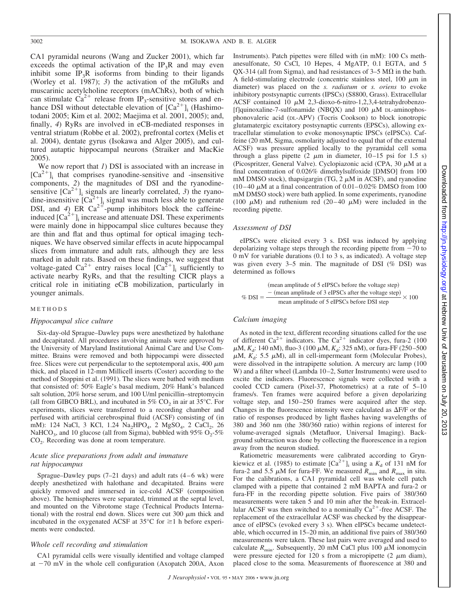CA1 pyramidal neurons (Wang and Zucker 2001), which far exceeds the optimal activation of the IP<sub>3</sub>R and may even inhibit some  $IP_3R$  isoforms from binding to their ligands (Worley et al. 1987); *3*) the activation of the mGluRs and muscarinic acetylcholine receptors (mAChRs), both of which can stimulate  $Ca^{2+}$  release from IP<sub>3</sub>-sensitive stores and enhance DSI without detectable elevation of  $[Ca^{2+}]_i$  (Hashimotodani 2005; Kim et al. 2002; Maejima et al. 2001, 2005); and, finally, *4*) RyRs are involved in eCB-mediated responses in ventral striatum (Robbe et al. 2002), prefrontal cortex (Melis et al. 2004), dentate gyrus (Isokawa and Alger 2005), and cultured autaptic hippocampal neurons (Straiker and MacKie 2005).

We now report that *1*) DSI is associated with an increase in  $[Ca^{2+}]$ <sub>i</sub> that comprises ryanodine-sensitive and -insensitive components, *2*) the magnitudes of DSI and the ryanodinesensitive  $[Ca^{2+}]$ <sub>i</sub> signals are linearly correlated, 3) the ryanodine-insensitive  $[Ca^{2+}]$ <sub>i</sub> signal was much less able to generate DSI, and 4) ER  $Ca^{2+}$ -pump inhibitors block the caffeineinduced  $[Ca^{2+}]$ ; increase and attenuate DSI. These experiments were mainly done in hippocampal slice cultures because they are thin and flat and thus optimal for optical imaging techniques. We have observed similar effects in acute hippocampal slices from immature and adult rats, although they are less marked in adult rats. Based on these findings, we suggest that voltage-gated Ca<sup>2+</sup> entry raises local  $[Ca<sup>2+</sup>]$ <sub>i</sub> sufficiently to activate nearby RyRs, and that the resulting CICR plays a critical role in initiating eCB mobilization, particularly in younger animals.

#### METHODS

#### *Hippocampal slice culture*

Six-day-old Sprague–Dawley pups were anesthetized by halothane and decapitated. All procedures involving animals were approved by the University of Maryland Institutional Animal Care and Use Committee. Brains were removed and both hippocampi were dissected free. Slices were cut perpendicular to the septotemporal axis, 400  $\mu$ m thick, and placed in 12-mm Millicell inserts (Coster) according to the method of Stoppini et al. (1991). The slices were bathed with medium that consisted of: 50% Eagle's basal medium, 20% Hank's balanced salt solution, 20% horse serum, and 100 U/ml penicillin–streptomycin (all from GIBCO BRL), and incubated in  $5\%$  CO<sub>2</sub> in air at  $35^{\circ}$ C. For experiments, slices were transferred to a recording chamber and perfused with artificial cerebrospinal fluid (ACSF) consisting of (in mM): 124 NaCl, 3 KCl, 1.24 Na<sub>2</sub>HPO<sub>4</sub>, 2 MgSO<sub>4</sub>, 2 CaCl<sub>2</sub>, 26 NaHCO<sub>3</sub>, and 10 glucose (all from Sigma), bubbled with 95% O<sub>2</sub>-5% CO<sub>2</sub>. Recording was done at room temperature.

#### *Acute slice preparations from adult and immature rat hippocampus*

Sprague–Dawley pups  $(7-21 \text{ days})$  and adult rats  $(4-6 \text{ wk})$  were deeply anesthetized with halothane and decapitated. Brains were quickly removed and immersed in ice-cold ACSF (composition above). The hemispheres were separated, trimmed at the septal level, and mounted on the Vibrotome stage (Technical Products International) with the rostral end down. Slices were cut  $300 \mu m$  thick and incubated in the oxygenated ACSF at  $35^{\circ}$ C for  $\geq 1$  h before experiments were conducted.

#### *Whole cell recording and stimulation*

CA1 pyramidal cells were visually identified and voltage clamped at -70 mV in the whole cell configuration (Axopatch 200A, Axon

Instruments). Patch pipettes were filled with (in mM): 100 Cs methanesulfonate, 50 CsCl, 10 Hepes, 4 MgATP, 0.1 EGTA, and 5 QX-314 (all from Sigma), and had resistances of  $3-5$  M $\Omega$  in the bath. A field-stimulating electrode (concentric stainless steel,  $100 \mu m$  in diameter) was placed on the *s. radiatum* or *s. oriens* to evoke inhibitory postsynaptic currents (IPSCs) (S8800, Grass). Extracellular ACSF contained 10  $\mu$ M 2,3-dioxo-6-nitro-1,2,3,4-tetrahydrobenzo-[f]quinoxaline-7-sulfonamide (NBQX) and 100  $\mu$ M DL-aminophosphonovaleric acid (DL-APV) (Tocris Cookson) to block ionotropic glutamatergic excitatory postsynaptic currents (EPSCs), allowing extracellular stimulation to evoke monosynaptic IPSCs (eIPSCs). Caffeine (20 mM, Sigma, osmolarity adjusted to equal that of the external ACSF) was pressure applied locally to the pyramidal cell soma through a glass pipette  $(2 \mu m)$  in diameter,  $10-15$  psi for 1.5 s) (Picospritzer, General Valve). Cyclopiazonic acid (CPA, 30  $\mu$ M at a final concentration of 0.026% dimethylsulfoxide [DMSO] from 100 mM DMSO stock), thapsigargin (TG,  $2 \mu$ M in ACSF), and ryanodine  $(10-40 \mu M)$  at a final concentration of  $0.01-0.02\%$  DMSO from 100 mM DMSO stock) were bath applied. In some experiments, ryanodine (100  $\mu$ M) and ruthenium red (20–40  $\mu$ M) were included in the recording pipette.

#### *Assessment of DSI*

eIPSCs were elicited every 3 s. DSI was induced by applying depolarizing voltage steps through the recording pipette from  $-70$  to 0 mV for variable durations (0.1 to 3 s, as indicated). A voltage step was given every 3–5 min. The magnitude of DSI (% DSI) was determined as follows

%  $DSI = \frac{-(\text{mean amplitude of 3 eIPSCs after the voltage step)}}{N(1 - \text{Area H})}$ mean amplitude of 5 eIPSCs before the voltage step mean amplitude of 5 eIPSCs before DSI step  $\times$  100

#### *Calcium imaging*

As noted in the text, different recording situations called for the use of different  $Ca^{2+}$  indicators. The  $Ca^{2+}$  indicator dyes, fura-2 (100)  $\mu$ M,  $K_d$ : 140 nM), fluo-3 (100  $\mu$ M,  $K_d$ : 325 nM), or fura-FF (250–500  $\mu$ M,  $K_d$ : 5.5  $\mu$ M), all in cell-impermeant form (Molecular Probes), were dissolved in the intrapipette solution. A mercury arc lamp (100 W) and a filter wheel (Lambda 10-2, Sutter Instruments) were used to excite the indicators. Fluorescence signals were collected with a cooled CCD camera (Pixel-37, Photometrics) at a rate of 5–10 frames/s. Ten frames were acquired before a given depolarizing voltage step, and  $150-250$  frames were acquired after the step. Changes in the fluorescence intensity were calculated as  $\Delta F/F$  or the ratio of responses produced by light flashes having wavelengths of 380 and 360 nm (the 380/360 ratio) within regions of interest for volume-averaged signals (Metafluor, Universal Imaging). Background subtraction was done by collecting the fluorescence in a region away from the neuron studied.

Ratiometric measurements were calibrated according to Grynkiewicz et al. (1985) to estimate  $[Ca^{2+}]$ <sub>i</sub> using a  $K_d$  of 131 nM for fura-2 and 5.5  $\mu$ M for fura-FF. We measured  $R_{\text{min}}$  and  $R_{\text{max}}$  in situ. For the calibrations, a CA1 pyramidal cell was whole cell patch clamped with a pipette that contained 2 mM BAPTA and fura-2 or fura-FF in the recording pipette solution. Five pairs of 380/360 measurements were taken 5 and 10 min after the break-in. Extracellular ACSF was then switched to a nominally  $Ca^{2+}$ -free ACSF. The replacement of the extracellular ACSF was checked by the disappearance of eIPSCs (evoked every 3 s). When eIPSCs became undetectable, which occurred in 15–20 min, an additional five pairs of 380/360 measurements were taken. These last pairs were averaged and used to calculate  $R_{\text{min}}$ . Subsequently, 20 mM CaCl plus 100  $\mu$ M ionomycin were pressure ejected for 120 s from a micropipette  $(2 \mu m \text{ diam})$ , placed close to the soma. Measurements of fluorescence at 380 and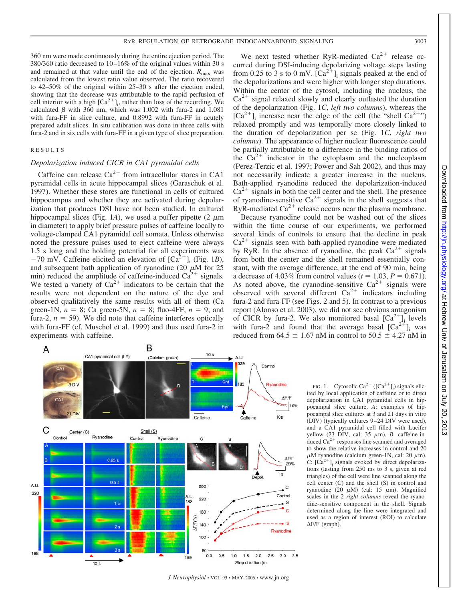360 nm were made continuously during the entire ejection period. The  $380/360$  ratio decreased to  $10-16\%$  of the original values within 30 s and remained at that value until the end of the ejection.  $R_{\text{max}}$  was calculated from the lowest ratio value observed. The ratio recovered to 42–50% of the original within 25–30 s after the ejection ended, showing that the decrease was attributable to the rapid perfusion of cell interior with a high  $[Ca^{2+}]_i$ , rather than loss of the recording. We calculated  $\beta$  with 360 nm, which was 1.002 with fura-2 and 1.081 with fura-FF in slice culture, and 0.8992 with fura-FF in acutely prepared adult slices. In situ calibration was done in three cells with fura-2 and in six cells with fura-FF in a given type of slice preparation.

#### RESULTS

## *Depolarization induced CICR in CA1 pyramidal cells*

Caffeine can release  $Ca^{2+}$  from intracellular stores in CA1 pyramidal cells in acute hippocampal slices (Garaschuk et al. 1997). Whether these stores are functional in cells of cultured hippocampus and whether they are activated during depolarization that produces DSI have not been studied. In cultured hippocampal slices (Fig. 1A), we used a puffer pipette  $(2 \mu m)$ in diameter) to apply brief pressure pulses of caffeine locally to voltage-clamped CA1 pyramidal cell somata. Unless otherwise noted the pressure pulses used to eject caffeine were always 1.5 s long and the holding potential for all experiments was  $-70$  mV. Caffeine elicited an elevation of  $[Ca<sup>2+</sup>]$ <sub>i</sub> (Fig. 1*B*), and subsequent bath application of ryanodine (20  $\mu$ M for 25 min) reduced the amplitude of caffeine-induced  $Ca<sup>2+</sup>$  signals. We tested a variety of  $Ca^{2+}$  indicators to be certain that the results were not dependent on the nature of the dye and observed qualitatively the same results with all of them (Ca green-1N,  $n = 8$ ; Ca green-5N,  $n = 8$ ; fluo-4FF,  $n = 9$ ; and fura-2,  $n = 59$ ). We did note that caffeine interferes optically with fura-FF (cf. Muschol et al. 1999) and thus used fura-2 in experiments with caffeine.

We next tested whether RyR-mediated  $Ca^{2+}$  release occurred during DSI-inducing depolarizing voltage steps lasting from 0.25 to 3 s to 0 mV.  $[Ca^{2+}]$ ; signals peaked at the end of the depolarizations and were higher with longer step durations. Within the center of the cytosol, including the nucleus, the  $Ca<sup>2+</sup>$  signal relaxed slowly and clearly outlasted the duration of the depolarization (Fig. 1*C*, *left two columns*), whereas the  $[Ca^{2+}]$ ; increase near the edge of the cell (the "shell  $Ca^{2+}$ ") relaxed promptly and was temporally more closely linked to the duration of depolarization per se (Fig. 1*C*, *right two columns*). The appearance of higher nuclear fluorescence could be partially attributable to a difference in the binding ratios of the  $Ca^{2+}$  indicator in the cytoplasm and the nucleoplasm (Perez-Terzic et al. 1997; Power and Sah 2002), and thus may not necessarily indicate a greater increase in the nucleus. Bath-applied ryanodine reduced the depolarization-induced  $Ca<sup>2+</sup>$  signals in both the cell center and the shell. The presence of ryanodine-sensitive  $Ca^{2+}$  signals in the shell suggests that RyR-mediated  $Ca^{2+}$  release occurs near the plasma membrane.

Because ryanodine could not be washed out of the slices within the time course of our experiments, we performed several kinds of controls to ensure that the decline in peak  $Ca<sup>2+</sup>$  signals seen with bath-applied ryanodine were mediated by RyR. In the absence of ryanodine, the peak  $Ca^{2+}$  signals from both the center and the shell remained essentially constant, with the average difference, at the end of 90 min, being a decrease of 4.03% from control values ( $t = 1.03$ ,  $P = 0.671$ ). As noted above, the ryanodine-sensitive  $Ca^{2+}$  signals were observed with several different  $Ca^{2+}$  indicators including fura-2 and fura-FF (see Figs. 2 and 5). In contrast to a previous report (Alonso et al. 2003), we did not see obvious antagonism of CICR by fura-2. We also monitored basal  $[Ca^{2+}]$ ; levels with fura-2 and found that the average basal  $[Ca^{2+}]$ <sub>i</sub> was reduced from 64.5  $\pm$  1.67 nM in control to 50.5  $\pm$  4.27 nM in



*J Neurophysiol* • VOL 95 • MAY 2006 • www.jn.org

FIG. 1. Cytosolic  $Ca^{2+} ([Ca^{2+}]_i)$  signals elicited by local application of caffeine or to direct depolarization in CA1 pyramidal cells in hippocampal slice culture. *A*: examples of hippocampal slice cultures at 3 and 21 days in vitro (DIV) (typically cultures 9 –24 DIV were used), and a CA1 pyramidal cell filled with Lucifer yellow  $(23 \text{ DIV}, \text{ cal: } 35 \mu \text{m})$ . *B*: caffeine-induced  $Ca^{2+}$  responses line scanned and averaged to show the relative increases in control and 20  $\mu$ M ryanodine (calcium green-1N, cal: 20  $\mu$ m). *C*:  $[Ca^{2+}]$ ; signals evoked by direct depolarizations (lasting from 250 ms to 3 s, given at red triangles) of the cell were line scanned along the cell center (C) and the shell (S) in control and ryanodine (20  $\mu$ M) (cal: 15  $\mu$ m). Magnified scales in the 2 *right columns* reveal the ryanodine-sensitive component in the shell. Signals determined along the line were integrated and used as a region of interest (ROI) to calculate  $\Delta$ F/F (graph).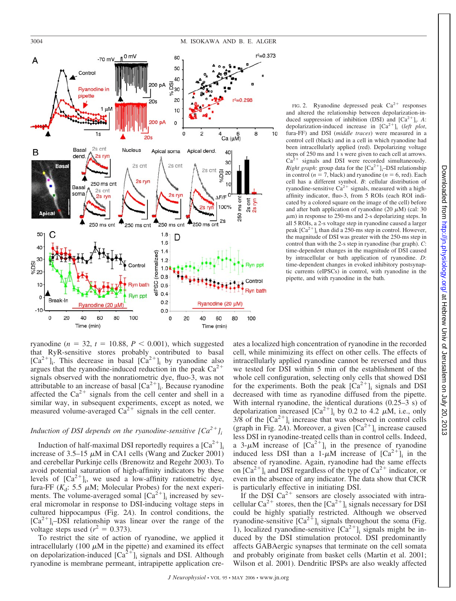



ryanodine  $(n = 32, t = 10.88, P < 0.001)$ , which suggested that RyR-sensitive stores probably contributed to basal  $[Ca^{2+}]$ . This decrease in basal  $[Ca^{2+}]$  by ryanodine also argues that the ryanodine-induced reduction in the peak  $Ca^{2+}$ signals observed with the nonratiometric dye, fluo-3, was not attributable to an increase of basal  $[Ca^{2+}]_i$ . Because ryanodine affected the  $Ca^{2+}$  signals from the cell center and shell in a similar way, in subsequent experiments, except as noted, we measured volume-averaged  $Ca^{2+}$  signals in the cell center.

## *Induction of DSI depends on the ryanodine-sensitive*  $[Ca^{2+}]_i$

Induction of half-maximal DSI reportedly requires a  $[Ca^{2+}]_i$ increase of  $3.5-15 \mu M$  in CA1 cells (Wang and Zucker 2001) and cerebellar Purkinje cells (Brenowitz and Regehr 2003). To avoid potential saturation of high-affinity indicators by these levels of  $[Ca^{2+}]_i$ , we used a low-affinity ratiometric dye, fura-FF ( $K_d$ : 5.5  $\mu$ M; Molecular Probes) for the next experiments. The volume-averaged somal  $[Ca^{2+}]$ <sub>i</sub> increased by several micromolar in response to DSI-inducing voltage steps in cultured hippocampus (Fig. 2*A*). In control conditions, the  $[Ca^{2+}]_i$ -DSI relationship was linear over the range of the voltage steps used  $(r^2 = 0.373)$ .

To restrict the site of action of ryanodine, we applied it intracellularly (100  $\mu$ M in the pipette) and examined its effect on depolarization-induced  $[Ca^{2+}]$  signals and DSI. Although ryanodine is membrane permeant, intrapipette application cre-

FIG. 2. Ryanodine depressed peak  $Ca^{2+}$  responses and altered the relationship between depolarization-induced suppression of inhibition (DSI) and  $[Ca^{2+}]_i$ . *A*: depolarization-induced increase in  $[Ca^{2+}]$ ; (*left plot*, fura-FF) and DSI (*middle traces*) were measured in a control cell (black) and in a cell in which ryanodine had been intracellularly applied (red). Depolarizing voltage steps of 250 ms and 1 s were given to each cell at arrows.  $Ca<sup>2+</sup>$  signals and DSI were recorded simultaneously. *Right graph*: group data for the  $[Ca^{2+}]_i$ -DSI relationship in control  $(n = 7)$ , black) and ryanodine  $(n = 6)$ , red). Each cell has a different symbol. *B*: cellular distribution of ryanodine-sensitive  $Ca^{2+}$  signals, measured with a highaffinity indicator, fluo-3, from 5 ROIs (each ROI indicated by a colored square on the image of the cell) before and after bath application of ryanodine  $(20 \mu M)$  (cal: 30  $\mu$ m) in response to 250-ms and 2-s depolarizing steps. In all 5 ROIs, a 2-s voltage step in ryanodine caused a larger peak  $[Ca^{2+}]$ <sub>i</sub> than did a 250-ms step in control. However, the magnitude of DSI was greater with the 250-ms step in control than with the 2-s step in ryanodine (bar graph). *C*: time-dependent changes in the magnitude of DSI caused by intracellular or bath application of ryanodine. *D*: time-dependent changes in evoked inhibitory postsynaptic currents (eIPSCs) in control, with ryanodine in the pipette, and with ryanodine in the bath.

ates a localized high concentration of ryanodine in the recorded cell, while minimizing its effect on other cells. The effects of intracellularly applied ryanodine cannot be reversed and thus we tested for DSI within 5 min of the establishment of the whole cell configuration, selecting only cells that showed DSI for the experiments. Both the peak  $[Ca^{2+}]$ ; signals and DSI decreased with time as ryanodine diffused from the pipette. With internal ryanodine, the identical durations (0.25–3 s) of depolarization increased  $[Ca^{2+}]_i$  by 0.2 to 4.2  $\mu$ M, i.e., only  $3/8$  of the  $[Ca^{2+}]$ <sub>i</sub> increase that was observed in control cells (graph in Fig. 2*A*). Moreover, a given  $[Ca^{2+}]$ <sub>i</sub> increase caused less DSI in ryanodine-treated cells than in control cells. Indeed, a 3- $\mu$ M increase of  $[Ca^{2+}]_i$  in the presence of ryanodine induced less DSI than a  $1-\mu M$  increase of  $[Ca^{2+1}]_i$  in the absence of ryanodine. Again, ryanodine had the same effects on  $[Ca^{2+}]$  and DSI regardless of the type of  $Ca^{2+}$  indicator, or even in the absence of any indicator. The data show that CICR is particularly effective in initiating DSI.

If the DSI  $Ca^{2+}$  sensors are closely associated with intracellular  $Ca^{2+}$  stores, then the  $[Ca^{2+}]_i$  signals necessary for DSI could be highly spatially restricted. Although we observed ryanodine-sensitive  $[Ca^{2+}]$ <sub>i</sub> signals throughout the soma (Fig. 1), localized ryanodine-sensitive  $[Ca^{2+}]$ <sub>i</sub> signals might be induced by the DSI stimulation protocol. DSI predominantly affects GABAergic synapses that terminate on the cell somata and probably originate from basket cells (Martin et al. 2001; Wilson et al. 2001). Dendritic IPSPs are also weakly affected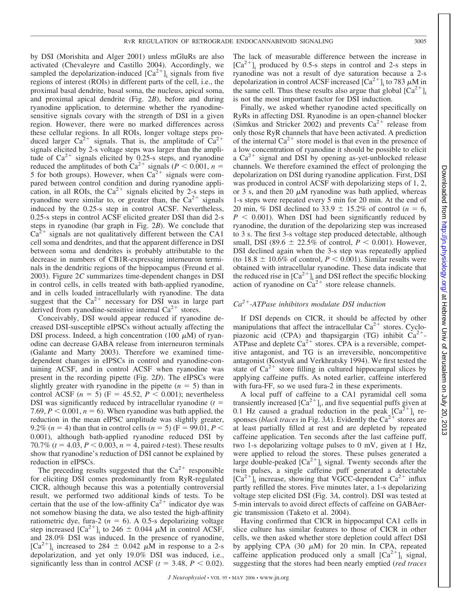by DSI (Morishita and Alger 2001) unless mGluRs are also activated (Chevaleyre and Castillo 2004). Accordingly, we sampled the depolarization-induced  $[Ca^{2+}]$ ; signals from five regions of interest (ROIs) in different parts of the cell, i.e., the proximal basal dendrite, basal soma, the nucleus, apical soma, and proximal apical dendrite (Fig. 2*B*), before and during ryanodine application, to determine whether the ryanodinesensitive signals covary with the strength of DSI in a given region. However, there were no marked differences across these cellular regions. In all ROIs, longer voltage steps produced larger  $Ca^{2+}$  signals. That is, the amplitude of  $Ca^{2+}$ signals elicited by 2-s voltage steps was larger than the amplitude of  $Ca^{2+}$  signals elicited by 0.25-s steps, and ryanodine reduced the amplitudes of both  $Ca^{2+}$  signals ( $P < 0.001$ ,  $n =$ 5 for both groups). However, when  $Ca^{2+}$  signals were compared between control condition and during ryanodine application, in all ROIs, the  $Ca^{2+}$  signals elicited by 2-s steps in ryanodine were similar to, or greater than, the  $Ca^{2+}$  signals induced by the 0.25-s step in control ACSF. Nevertheless, 0.25-s steps in control ACSF elicited greater DSI than did 2-s steps in ryanodine (bar graph in Fig. 2*B*). We conclude that  $Ca^{2+}$  signals are not qualitatively different between the CA1 cell soma and dendrites, and that the apparent difference in DSI between soma and dendrites is probably attributable to the decrease in numbers of CB1R-expressing interneuron terminals in the dendritic regions of the hippocampus (Freund et al. 2003). Figure 2*C* summarizes time-dependent changes in DSI in control cells, in cells treated with bath-applied ryanodine, and in cells loaded intracellularly with ryanodine. The data suggest that the  $Ca^{2+}$  necessary for DSI was in large part derived from ryanodine-sensitive internal  $Ca^{2+}$  stores.

Conceivably, DSI would appear reduced if ryanodine decreased DSI-susceptible eIPSCs without actually affecting the DSI process. Indeed, a high concentration (100  $\mu$ M) of ryanodine can decrease GABA release from interneuron terminals (Galante and Marty 2003). Therefore we examined timedependent changes in eIPSCs in control and ryanodine-containing ACSF, and in control ACSF when ryanodine was present in the recording pipette (Fig. 2*D*). The eIPSCs were slightly greater with ryanodine in the pipette  $(n = 5)$  than in control ACSF  $(n = 5)$   $(F = 45.52, P < 0.001)$ ; nevertheless DSI was significantly reduced by intracellular ryanodine  $(t =$ 7.69,  $P < 0.001$ ,  $n = 6$ ). When ryanodine was bath applied, the reduction in the mean eIPSC amplitude was slightly greater, 9.2% (*n* = 4) than that in control cells (*n* = 5) (F = 99.01, *P* < 0.001), although bath-applied ryanodine reduced DSI by 70.7%  $(t = 4.03, P < 0.003, n = 4$ , paired *t*-test). These results show that ryanodine's reduction of DSI cannot be explained by reduction in eIPSCs.

The preceding results suggested that the  $Ca^{2+}$  responsible for eliciting DSI comes predominantly from RyR-regulated CICR, although because this was a potentially controversial result, we performed two additional kinds of tests. To be certain that the use of the low-affinity  $Ca^{2+}$  indicator dye was not somehow biasing the data, we also tested the high-affinity ratiometric dye, fura-2 ( $n = 6$ ). A 0.5-s depolarizing voltage step increased  $[Ca^{2+}]_i$  to 246  $\pm$  0.044  $\mu$ M in control ACSF, and 28.0% DSI was induced. In the presence of ryanodine,  $[Ca^{2+}]_i$  increased to 284  $\pm$  0.042  $\mu$ M in response to a 2-s depolarization, and yet only 19.0% DSI was induced, i.e., significantly less than in control ACSF  $(t = 3.48, P < 0.02)$ .

The lack of measurable difference between the increase in  $[Ca^{2+}]$ <sub>i</sub> produced by 0.5-s steps in control and 2-s steps in ryanodine was not a result of dye saturation because a 2-s depolarization in control ACSF increased  $\left[Ca^{2+}\right]_i$  to 783  $\mu$ M in the same cell. Thus these results also argue that global  $[Ca^{2+}]_i$ is not the most important factor for DSI induction.

Finally, we asked whether ryanodine acted specifically on RyRs in affecting DSI. Ryanodine is an open-channel blocker (Simkus and Stricker 2002) and prevents  $Ca^{2+}$  release from only those RyR channels that have been activated. A prediction of the internal  $Ca^{2+}$  store model is that even in the presence of a low concentration of ryanodine it should be possible to elicit a  $Ca^{2+}$  signal and DSI by opening as-yet-unblocked release channels. We therefore examined the effect of prolonging the depolarization on DSI during ryanodine application. First, DSI was produced in control ACSF with depolarizing steps of 1, 2, or 3 s, and then 20  $\mu$ M ryanodine was bath applied, whereas 1-s steps were repeated every 5 min for 20 min. At the end of 20 min, % DSI declined to 33.9  $\pm$  15.2% of control ( $n = 6$ ,  $P < 0.001$ ). When DSI had been significantly reduced by ryanodine, the duration of the depolarizing step was increased to 3 s. The first 3-s voltage step produced detectable, although small, DSI (89.6  $\pm$  22.5% of control,  $P < 0.001$ ). However, DSI declined again when the 3-s step was repeatedly applied (to  $18.8 \pm 10.6\%$  of control,  $P < 0.001$ ). Similar results were obtained with intracellular ryanodine. These data indicate that the reduced rise in  $[Ca^{2+}]$ <sub>i</sub> and DSI reflect the specific blocking action of ryanodine on  $\tilde{Ca}^{2+}$  store release channels.

### *Ca2-ATPase inhibitors modulate DSI induction*

If DSI depends on CICR, it should be affected by other manipulations that affect the intracellular  $Ca^{2+}$  stores. Cyclopiazonic acid (CPA) and thapsigargin (TG) inhibit  $Ca^{2+}$ -ATPase and deplete  $Ca^{2+}$  stores. CPA is a reversible, competitive antagonist, and TG is an irreversible, noncompetitive antagonist (Kostyuk and Verkhratsky 1994). We first tested the state of  $Ca^{2+}$  store filling in cultured hippocampal slices by applying caffeine puffs. As noted earlier, caffeine interfered with fura-FF, so we used fura-2 in these experiments.

A local puff of caffeine to a CA1 pyramidal cell soma transiently increased  $[Ca^{2+}]_i$ , and five sequential puffs given at 0.1 Hz caused a gradual reduction in the peak  $[Ca^{2+}]$ <sub>i</sub> responses (*black traces* in Fig. 3A). Evidently the Ca<sup>2+</sup> stores are at least partially filled at rest and are depleted by repeated caffeine application. Ten seconds after the last caffeine puff, two 1-s depolarizing voltage pulses to 0 mV, given at 1 Hz, were applied to reload the stores. These pulses generated a large double-peaked  $[Ca^{2+}]$ <sub>i</sub> signal. Twenty seconds after the twin pulses, a single caffeine puff generated a detectable  $[Ca^{2+}]$ <sub>i</sub> increase, showing that VGCC-dependent  $Ca^{2+}$  influx partly refilled the stores. Five minutes later, a 1-s depolarizing voltage step elicited DSI (Fig. 3*A*, control). DSI was tested at 5-min intervals to avoid direct effects of caffeine on GABAergic transmission (Taketo et al. 2004).

Having confirmed that CICR in hippocampal CA1 cells in slice culture has similar features to those of CICR in other cells, we then asked whether store depletion could affect DSI by applying CPA  $(30 \mu M)$  for 20 min. In CPA, repeated caffeine application produced only a small  $[Ca^{2+}]$ ; signal, suggesting that the stores had been nearly emptied (*red traces*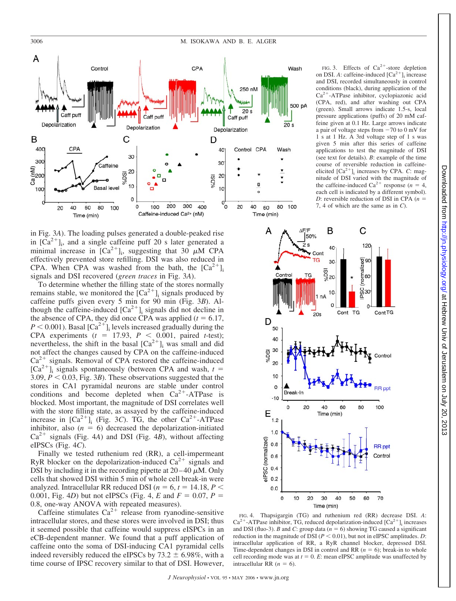

in Fig. 3*A*). The loading pulses generated a double-peaked rise in  $[\text{Ca}^{2+}]$ <sub>i</sub>, and a single caffeine puff 20 s later generated a minimal increase in  $[Ca^{2+}]_i$ , suggesting that 30  $\mu$ M CPA effectively prevented store refilling. DSI was also reduced in CPA. When CPA was washed from the bath, the  $\lceil Ca^{2+} \rceil$ signals and DSI recovered (*green traces* in Fig. 3*A*).

To determine whether the filling state of the stores normally remains stable, we monitored the  $[Ca^{2+}]$ <sub>i</sub> signals produced by caffeine puffs given every 5 min for 90 min (Fig. 3*B*). Although the caffeine-induced  $[Ca^{2+}]$ ; signals did not decline in the absence of CPA, they did once CPA was applied  $(t = 6.17,$  $P < 0.001$ ). Basal  $\left[Ca^{2+}\right]_i$  levels increased gradually during the CPA experiments  $(t = 17.93, P < 0.001,$  paired *t*-test); nevertheless, the shift in the basal  $[Ca^{2+}]$ <sub>i</sub> was small and did not affect the changes caused by CPA on the caffeine-induced  $Ca^{2+}$  signals. Removal of CPA restored the caffeine-induced  $[Ca^{2+}]$ <sub>i</sub> signals spontaneously (between CPA and wash, *t* = 3.09,  $P < 0.03$ , Fig. 3*B*). These observations suggested that the stores in CA1 pyramidal neurons are stable under control conditions and become depleted when  $Ca^{2+}-ATP$ ase is blocked. Most important, the magnitude of DSI correlates well with the store filling state, as assayed by the caffeine-induced increase in  $\left[\text{Ca}^{2+}\right]$  (Fig. 3*C*). TG, the other  $\text{Ca}^{2+}$ -ATPase inhibitor, also  $(n = 6)$  decreased the depolarization-initiated  $Ca^{2+}$  signals (Fig. 4*A*) and DSI (Fig. 4*B*), without affecting eIPSCs (Fig. 4*C*).

Finally we tested ruthenium red (RR), a cell-impermeant RyR blocker on the depolarization-induced  $Ca^{2+}$  signals and DSI by including it in the recording pipette at  $20-40 \mu M$ . Only cells that showed DSI within 5 min of whole cell break-in were analyzed. Intracellular RR reduced DSI ( $n = 6$ ,  $t = 14.18$ ,  $P \le$ 0.001, Fig. 4*D*) but not eIPSCs (Fig. 4, *E* and  $F = 0.07$ ,  $P =$ 0.8, one-way ANOVA with repeated measures).

Caffeine stimulates  $Ca^{2+}$  release from ryanodine-sensitive intracellular stores, and these stores were involved in DSI; thus it seemed possible that caffeine would suppress eISPCs in an eCB-dependent manner. We found that a puff application of caffeine onto the soma of DSI-inducing CA1 pyramidal cells indeed reversibly reduced the eIPSCs by  $73.2 \pm 6.98\%$ , with a time course of IPSC recovery similar to that of DSI. However,

FIG. 3. Effects of  $Ca^{2+}$ -store depletion on DSI. *A*: caffeine-induced  $[Ca^{2+}]$  increase and DSI, recorded simultaneously in control conditions (black), during application of the Ca<sup>2+</sup>-ATPase inhibitor, cyclopiazonic acid (CPA, red), and after washing out CPA (green). Small arrows indicate 1.5-s, local pressure applications (puffs) of 20 mM caffeine given at 0.1 Hz. Large arrows indicate a pair of voltage steps from  $-70$  to  $0$  mV for 1 s at 1 Hz. A 3rd voltage step of 1 s was given 5 min after this series of caffeine applications to test the magnitude of DSI (see text for details). *B*: example of the time course of reversible reduction in caffeineelicited  $[Ca^{2+}]$ <sub>i</sub> increases by CPA. *C*: magnitude of DSI varied with the magnitude of the caffeine-induced  $Ca^{2+}$  response ( $n = 4$ , each cell is indicated by a different symbol). *D*: reversible reduction of DSI in CPA (*n* 7, 4 of which are the same as in *C*).



 $.2013$ 

FIG. 4. Thapsigargin (TG) and ruthenium red (RR) decrease DSI. *A*:  $Ca^{2+}$ -ATPase inhibitor, TG, reduced depolarization-induced  $[Ca^{2+}]$ <sub>i</sub> increases and DSI (fluo-3). *B* and *C*: group data ( $n = 6$ ) showing TG caused a significant reduction in the magnitude of DSI  $(P < 0.01)$ , but not in eIPSC amplitudes. *D*: intracellular application of RR, a RyR channel blocker, depressed DSI. Time-dependent changes in DSI in control and RR  $(n = 6)$ ; break-in to whole cell recording mode was at  $t = 0$ . *E*: mean eIPSC amplitude was unaffected by intracellular RR  $(n = 6)$ .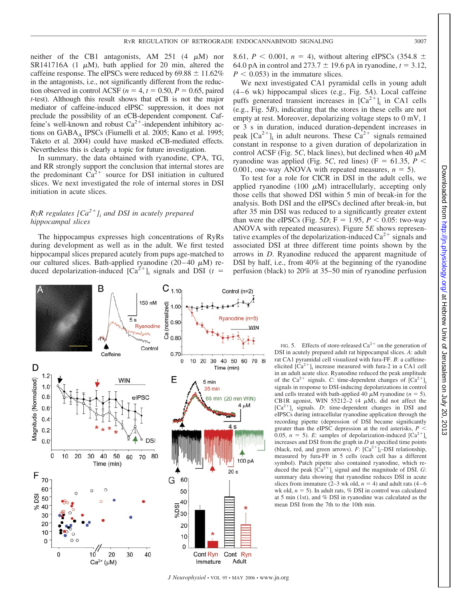neither of the CB1 antagonists, AM 251  $(4 \mu M)$  nor SR141716A (1  $\mu$ M), bath applied for 20 min, altered the caffeine response. The eIPSCs were reduced by  $69.88 \pm 11.62\%$ in the antagonists, i.e., not significantly different from the reduction observed in control ACSF ( $n = 4$ ,  $t = 0.50$ ,  $P = 0.65$ , paired *t*-test). Although this result shows that eCB is not the major mediator of caffeine-induced eIPSC suppression, it does not preclude the possibility of an eCB-dependent component. Caffeine's well-known and robust  $Ca^{2+}$ -independent inhibitory actions on GABA<sub>A</sub> IPSCs (Fiumelli et al. 2005; Kano et al. 1995; Taketo et al. 2004) could have masked eCB-mediated effects. Nevertheless this is clearly a topic for future investigation.

In summary, the data obtained with ryanodine, CPA, TG, and RR strongly support the conclusion that internal stores are the predominant  $\tilde{Ca}^{2+}$  source for DSI initiation in cultured slices. We next investigated the role of internal stores in DSI initiation in acute slices.

# *RyR regulates*  $[Ca^{2+}j]$  *and DSI in acutely prepared hippocampal slices*

The hippocampus expresses high concentrations of RyRs during development as well as in the adult. We first tested hippocampal slices prepared acutely from pups age-matched to our cultured slices. Bath-applied ryanodine  $(20-40 \mu M)$  reduced depolarization-induced  $[Ca^{2+}]$ <sub>i</sub> signals and DSI (*t* =

8.61,  $P < 0.001$ ,  $n = 4$ ), without altering eIPSCs (354.8  $\pm$ 64.0 pA in control and  $273.7 \pm 19.6$  pA in ryanodine,  $t = 3.12$ ,  $P < 0.053$ ) in the immature slices.

We next investigated CA1 pyramidal cells in young adult (4 – 6 wk) hippocampal slices (e.g., Fig. 5*A*). Local caffeine puffs generated transient increases in  $[Ca^{2+}]$ ; in CA1 cells (e.g., Fig. 5*B*), indicating that the stores in these cells are not empty at rest. Moreover, depolarizing voltage steps to 0 mV, 1 or 3 s in duration, induced duration-dependent increases in peak  $[Ca^{2+}]$ <sub>i</sub> in adult neurons. These  $Ca^{2+}$  signals remained constant in response to a given duration of depolarization in control ACSF (Fig. 5C, black lines), but declined when  $40 \mu M$ ryanodine was applied (Fig. 5*C*, red lines) (F = 61.35,  $P$  < 0.001, one-way ANOVA with repeated measures,  $n = 5$ ).

To test for a role for CICR in DSI in the adult cells, we applied ryanodine (100  $\mu$ M) intracellularly, accepting only those cells that showed DSI within 5 min of break-in for the analysis. Both DSI and the eIPSCs declined after break-in, but after 35 min DSI was reduced to a significantly greater extent than were the eIPSCs (Fig. 5*D*;  $F = 1.95, P \le 0.05$ : two-way ANOVA with repeated measures). Figure 5*E* shows representative examples of the depolarization-induced  $Ca^{2+}$  signals and associated DSI at three different time points shown by the arrows in *D*. Ryanodine reduced the apparent magnitude of DSI by half, i.e., from 40% at the beginning of the ryanodine perfusion (black) to 20% at 35–50 min of ryanodine perfusion



FIG. 5. Effects of store-released  $Ca^{2+}$  on the generation of DSI in acutely prepared adult rat hippocampal slices. *A*: adult rat CA1 pyramidal cell visualized with fura-FF. *B*: a caffeineelicited  $[\text{Ca}^{2+}]$ <sub>i</sub> increase measured with fura-2 in a CA1 cell in an adult acute slice. Ryanodine reduced the peak amplitude of the Ca<sup>2+</sup> signals. *C*: time-dependent changes of  $[Ca^{2+}]$ <sub>i</sub> signals in response to DSI-inducing depolarizations in control and cells treated with bath-applied 40  $\mu$ M ryanodine ( $n = 5$ ). CB1R agonist, WIN 55212-2 (4  $\mu$ M), did not affect the  $[Ca^{2+}]$ <sub>i</sub> signals. *D*: time-dependent changes in DSI and eIPSCs during intracellular ryanodine application through the recording pipette (depression of DSI became significantly greater than the eIPSC depression at the red asterisks,  $P \leq$ 0.05,  $n = 5$ ). *E*: samples of depolarization-induced  $[Ca^{2+}]$ <sub>i</sub> increases and DSI from the graph in *D* at specified time points (black, red, and green arrows).  $F: [Ca^{2+}]_i$ -DSI relationship, measured by fura-FF in 5 cells (each cell has a different symbol). Patch pipette also contained ryanodine, which reduced the peak  $[Ca^{2+}]$ <sub>i</sub> signal and the magnitude of DSI. *G*: summary data showing that ryanodine reduces DSI in acute slices from immature  $(2-3 \text{ wk old}, n = 4)$  and adult rats  $(4-6 \text{ m})$ wk old,  $n = 5$ ). In adult rats,  $\%$  DSI in control was calculated at 5 min (1st), and % DSI in ryanodine was calculated as the mean DSI from the 7th to the 10th min.

at Hebrew Univ of Jerusalem on July 20, 2013 <http://jn.physiology.org/> Downloaded from

Viul, no

 $\overline{50}$ 

2013

Downloaded from http://jn.physiology.org/ at Hebrew Univ of Jerusalem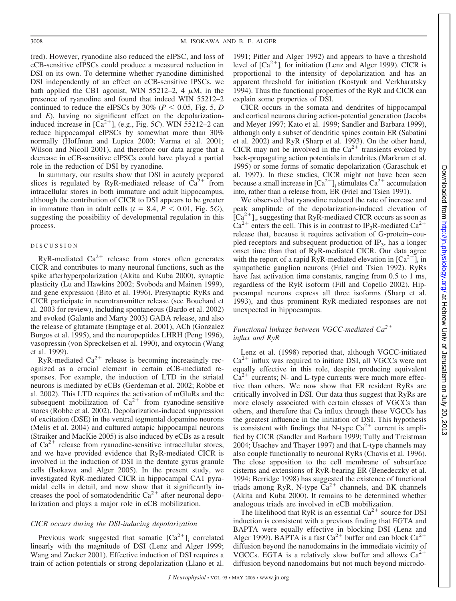(red). However, ryanodine also reduced the eIPSC, and loss of eCB-sensitive eIPSCs could produce a measured reduction in DSI on its own. To determine whether ryanodine diminished DSI independently of an effect on eCB-sensitive IPSCs, we bath applied the CB1 agonist, WIN 55212-2, 4  $\mu$ M, in the presence of ryanodine and found that indeed WIN 55212–2 continued to reduce the eIPSCs by  $30\%$  ( $P < 0.05$ , Fig. 5, *D* and *E*), having no significant effect on the depolarizationinduced increase in  $[\text{Ca}^{2+}]$ <sub>i</sub> (e.g., Fig. 5*C*). WIN 55212–2 can reduce hippocampal eIPSCs by somewhat more than 30% normally (Hoffman and Lupica 2000; Varma et al. 2001; Wilson and Nicoll 2001), and therefore our data argue that a decrease in eCB-sensitive eIPSCs could have played a partial role in the reduction of DSI by ryanodine.

In summary, our results show that DSI in acutely prepared slices is regulated by RyR-mediated release of  $Ca^{2+}$  from intracellular stores in both immature and adult hippocampus, although the contribution of CICR to DSI appears to be greater in immature than in adult cells  $(t = 8.4, P < 0.01,$  Fig. 5*G*), suggesting the possibility of developmental regulation in this process.

#### DISCUSSION

RyR-mediated  $Ca^{2+}$  release from stores often generates CICR and contributes to many neuronal functions, such as the spike afterhyperpolarization (Akita and Kuba 2000), synaptic plasticity (Lu and Hawkins 2002; Svoboda and Mainen 1999), and gene expression (Bito et al. 1996). Presynaptic RyRs and CICR participate in neurotransmitter release (see Bouchard et al. 2003 for review), including spontaneous (Bardo et al. 2002) and evoked (Galante and Marty 2003) GABA release, and also the release of glutamate (Emptage et al. 2001), ACh (Gonzalez Burgos et al. 1995), and the neuropeptides LHRH (Peng 1996), vasopressin (von Spreckelsen et al. 1990), and oxytocin (Wang et al. 1999).

RyR-mediated  $Ca^{2+}$  release is becoming increasingly recognized as a crucial element in certain eCB-mediated responses. For example, the induction of LTD in the striatal neurons is mediated by eCBs (Gerdeman et al. 2002; Robbe et al. 2002). This LTD requires the activation of mGluRs and the subsequent mobilization of  $Ca^{2+}$  from ryanodine-sensitive stores (Robbe et al. 2002). Depolarization-induced suppression of excitation (DSE) in the ventral tegmental dopamine neurons (Melis et al. 2004) and cultured autapic hippocampal neurons (Straiker and MacKie 2005) is also induced by eCBs as a result of  $Ca^{2+}$  release from ryanodine-sensitive intracellular stores, and we have provided evidence that RyR-mediated CICR is involved in the induction of DSI in the dentate gyrus granule cells (Isokawa and Alger 2005). In the present study, we investigated RyR-mediated CICR in hippocampal CA1 pyramidal cells in detail, and now show that it significantly increases the pool of somatodendritic  $Ca^{2+}$  after neuronal depolarization and plays a major role in eCB mobilization.

## *CICR occurs during the DSI-inducing depolarization*

Previous work suggested that somatic  $[Ca^{2+}]$ <sub>i</sub> correlated linearly with the magnitude of DSI (Lenz and Alger 1999; Wang and Zucker 2001). Effective induction of DSI requires a train of action potentials or strong depolarization (Llano et al. 1991; Pitler and Alger 1992) and appears to have a threshold level of  $[Ca^{2+}]$ <sub>i</sub> for initiation (Lenz and Alger 1999). CICR is proportional to the intensity of depolarization and has an apparent threshold for initiation (Kostyuk and Verkharatsky 1994). Thus the functional properties of the RyR and CICR can explain some properties of DSI.

CICR occurs in the somata and dendrites of hippocampal and cortical neurons during action-potential generation (Jacobs and Meyer 1997; Kato et al. 1999; Sandler and Barbara 1999), although only a subset of dendritic spines contain ER (Sabatini et al. 2002) and RyR (Sharp et al. 1993). On the other hand, CICR may not be involved in the  $Ca^{2+}$  transients evoked by back-propagating action potentials in dendrites (Markram et al. 1995) or some forms of somatic depolarization (Garaschuk et al. 1997). In these studies, CICR might not have been seen because a small increase in  $[Ca^{2+}]$ <sub>i</sub> stimulates  $Ca^{2+}$  accumulation into, rather than a release from, ER (Friel and Tsien 1991).

We observed that ryanodine reduced the rate of increase and peak amplitude of the depolarization-induced elevation of  $[Ca^{2+}]$ <sub>i</sub>, suggesting that RyR-mediated CICR occurs as soon as  $Ca^{2+}$  enters the cell. This is in contrast to IP<sub>3</sub>R-mediated  $Ca^{2+}$ release that, because it requires activation of G-protein– coupled receptors and subsequent production of  $IP_3$ , has a longer onset time than that of RyR-mediated CICR. Our data agree with the report of a rapid RyR-mediated elevation in  $[Ca^{2+}]$ ; in sympathetic ganglion neurons (Friel and Tsien 1992). RyRs have fast activation time constants, ranging from 0.5 to 1 ms, regardless of the RyR isoform (Fill and Copello 2002). Hippocampal neurons express all three isoforms (Sharp et al. 1993), and thus prominent RyR-mediated responses are not unexpected in hippocampus.

## *Functional linkage between VGCC-mediated Ca2 influx and RyR*

Lenz et al. (1998) reported that, although VGCC-initiated  $Ca<sup>2+</sup>$  influx was required to initiate DSI, all VGCCs were not equally effective in this role, despite producing equivalent  $Ca<sup>2+</sup>$  currents; N- and L-type currents were much more effective than others. We now show that ER resident RyRs are critically involved in DSI. Our data thus suggest that RyRs are more closely associated with certain classes of VGCCs than others, and therefore that Ca influx through these VGCCs has the greatest influence in the initiation of DSI. This hypothesis is consistent with findings that N-type  $Ca^{2+}$  current is amplified by CICR (Sandler and Barbara 1999; Tully and Treistman 2004; Usachev and Thayer 1997) and that L-type channels may also couple functionally to neuronal RyRs (Chavis et al. 1996). The close apposition to the cell membrane of subsurface cisterns and extensions of RyR-bearing ER (Benedeczky et al. 1994; Berridge 1998) has suggested the existence of functional triads among RyR, N-type  $Ca^{2+}$  channels, and BK channels (Akita and Kuba 2000). It remains to be determined whether analogous triads are involved in eCB mobilization.

The likelihood that RyR is an essential  $Ca^{2+}$  source for DSI induction is consistent with a previous finding that EGTA and BAPTA were equally effective in blocking DSI (Lenz and Alger 1999). BAPTA is a fast  $Ca^{2+}$  buffer and can block  $Ca^{2+}$ diffusion beyond the nanodomains in the immediate vicinity of VGCCs. EGTA is a relatively slow buffer and allows  $Ca^{2+}$ diffusion beyond nanodomains but not much beyond microdo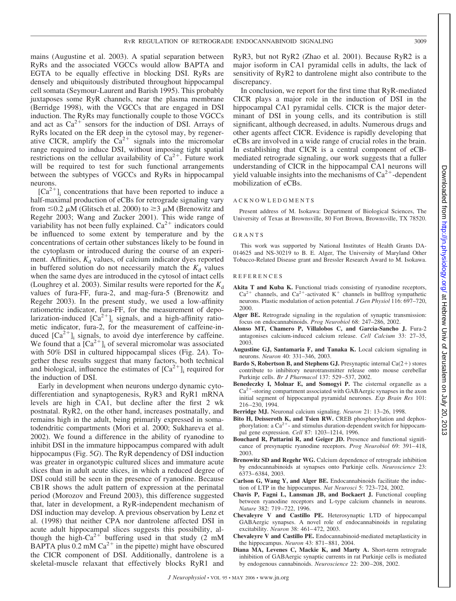mains (Augustine et al. 2003). A spatial separation between RyRs and the associated VGCCs would allow BAPTA and EGTA to be equally effective in blocking DSI. RyRs are densely and ubiquitously distributed throughout hippocampal cell somata (Seymour-Laurent and Barish 1995). This probably juxtaposes some RyR channels, near the plasma membrane (Berridge 1998), with the VGCCs that are engaged in DSI induction. The RyRs may functionally couple to those VGCCs and act as  $Ca^{2+}$  sensors for the induction of DSI. Arrays of RyRs located on the ER deep in the cytosol may, by regenerative CICR, amplify the  $\text{Ca}^{2+}$  signals into the micromolar range required to induce DSI, without imposing tight spatial restrictions on the cellular availability of  $Ca^{2+}$ . Future work will be required to test for such functional arrangements between the subtypes of VGCCs and RyRs in hippocampal neurons.

 $[Ca^{2+}]$ ; concentrations that have been reported to induce a half-maximal production of eCBs for retrograde signaling vary from  $\leq 0.2 \mu M$  (Glitsch et al. 2000) to  $\geq 3 \mu M$  (Brenowitz and Regehr 2003; Wang and Zucker 2001). This wide range of variability has not been fully explained.  $Ca^{2+}$  indicators could be influenced to some extent by temperature and by the concentrations of certain other substances likely to be found in the cytoplasm or introduced during the course of an experiment. Affinities,  $K_d$  values, of calcium indicator dyes reported in buffered solution do not necessarily match the  $K_d$  values when the same dyes are introduced in the cytosol of intact cells (Loughrey et al. 2003). Similar results were reported for the  $K_d$ values of fura-FF, fura-2, and mag-fura-5 (Brenowitz and Regehr 2003). In the present study, we used a low-affinity ratiometric indicator, fura-FF, for the measurement of depolarization-induced  $[Ca^{2+}]$ ; signals, and a high-affinity ratiometic indicator, fura-2, for the measurement of caffeine-induced  $[Ca^{2+}]$ <sub>i</sub> signals, to avoid dye interference by caffeine. We found that a  $[Ca^{2+}]$  of several micromolar was associated with 50% DSI in cultured hippocampal slices (Fig. 2*A*). Together these results suggest that many factors, both technical and biological, influence the estimates of  $[Ca^{2+}]$ <sub>i</sub> required for the induction of DSI.

Early in development when neurons undergo dynamic cytodifferentiation and synaptogenesis, RyR3 and RyR1 mRNA levels are high in CA1, but decline after the first 2 wk postnatal. RyR2, on the other hand, increases postnatally, and remains high in the adult, being primarily expressed in somatodendritic compartments (Mori et al. 2000; Sukhareva et al. 2002). We found a difference in the ability of ryanodine to inhibit DSI in the immature hippocampus compared with adult hippocampus (Fig. 5*G*). The RyR dependency of DSI induction was greater in organotypic cultured slices and immature acute slices than in adult acute slices, in which a reduced degree of DSI could still be seen in the presence of ryanodine. Because CB1R shows the adult pattern of expression at the perinatal period (Morozov and Freund 2003), this difference suggested that, later in development, a RyR-independent mechanism of DSI induction may develop. A previous observation by Lenz et al. (1998) that neither CPA nor dantrolene affected DSI in acute adult hippocampal slices suggests this possibility, although the high-Ca<sup>2+</sup> buffering used in that study (2 mM BAPTA plus 0.2 mM  $Ca^{2+}$  in the pipette) might have obscured the CICR component of DSI. Additionally, dantrolene is a skeletal-muscle relaxant that effectively blocks RyR1 and

RyR3, but not RyR2 (Zhao et al. 2001). Because RyR2 is a major isoform in CA1 pyramidal cells in adults, the lack of sensitivity of RyR2 to dantrolene might also contribute to the discrepancy.

In conclusion, we report for the first time that RyR-mediated CICR plays a major role in the induction of DSI in the hippocampal CA1 pyramidal cells. CICR is the major determinant of DSI in young cells, and its contribution is still significant, although decreased, in adults. Numerous drugs and other agents affect CICR. Evidence is rapidly developing that eCBs are involved in a wide range of crucial roles in the brain. In establishing that CICR is a central component of eCBmediated retrograde signaling, our work suggests that a fuller understanding of CICR in the hippocampal CA1 neurons will yield valuable insights into the mechanisms of  $Ca^{2+}$ -dependent mobilization of eCBs.

#### ACKNOWLEDGMENTS

Present address of M. Isokawa: Department of Biological Sciences, The University of Texas at Brownsville, 80 Fort Brown, Brownsville, TX 78520.

#### GRANTS

This work was supported by National Institutes of Health Grants DA-014625 and NS-30219 to B. E. Alger, The University of Maryland Other Tobacco-Related Disease grant and Bressler Research Award to M. Isokawa.

#### **REFERENCES**

- **Akita T and Kuba K.** Functional triads consisting of ryanodine receptors,  $Ca^{2+}$  channels, and  $Ca^{2+}$ -activated K<sup>+</sup> channels in bullfrog sympathetic neurons. Plastic modulation of action potential. *J Gen Physiol* 116: 697–720, 2000.
- **Alger BE.** Retrograde signaling in the regulation of synaptic transmission: focus on endocannabinoids. *Prog Neurobiol* 68: 247–286, 2002.
- **Alonso MT, Chamero P, Villalobos C, and Garcia-Sancho J.** Fura-2 antagonises calcium-induced calcium release. *Cell Calcium* 33: 27–35, 2003.
- **Augustine GJ, Santamaria F, and Tanaka K.** Local calcium signaling in neurons. *Neuron* 40: 331–346, 2003.
- **Bardo S, Robertson B, and Stephens GJ.** Presynaptic internal  $Ca(2+)$  stores contribute to inhibitory neurotransmitter release onto mouse cerebellar Purkinje cells. *Br J Pharmacol* 137: 529 –537, 2002.
- **Benedeczky I, Molnar E, and Somogyi P.** The cisternal organelle as a  $Ca<sup>2+</sup>$ -storing compartment associated with GABAergic synapses in the axon initial segment of hippocampal pyramidal neurones. *Exp Brain Res* 101: 216 –230, 1994.
- **Berridge MJ.** Neuronal calcium signaling. *Neuron* 21: 13–26, 1998.
- **Bito H, Deisseroth K, and Tsien RW.** CREB phosphorylation and dephosphorylation: a  $Ca^{2+}$ - and stimulus duration-dependent switch for hippocampal gene expression. *Cell* 87: 1203–1214, 1996.
- **Bouchard R, Pattarini R, and Geiger JD.** Presence and functional significance of presynaptic ryanodine receptors. *Prog Neurobiol* 69: 391-418, 2003.
- **Brenowitz SD and Regehr WG.** Calcium dependence of retrograde inhibition by endocannabinoids at synapses onto Purkinje cells. *Neuroscience* 23: 6373– 6384, 2003.
- **Carlson G, Wang Y, and Alger BE.** Endocannabinoids facilitate the induction of LTP in the hippocampus. *Nat Neurosci* 5: 723–724, 2002.
- **Chavis P, Fagni L, Lansman JB, and Bockaert J.** Functional coupling between ryanodine receptors and L-type calcium channels in neurons. *Nature* 382: 719 –722, 1996.
- **Chevaleyre V and Castillo PE.** Heterosynaptic LTD of hippocampal GABAergic synapses. A novel role of endocannabinoids in regulating excitability. *Neuron* 38: 461-472, 2003.
- **Chevaleyre V and Castillo PE.** Endocannabinoid-mediated metaplasticity in the hippocampus. *Neuron* 43: 871– 881, 2004.
- **Diana MA, Levenes C, Mackie K, and Marty A.** Short-term retrograde inhibition of GABAergic synaptic currents in rat Purkinje cells is mediated by endogenous cannabinoids. *Neuroscience* 22: 200 –208, 2002.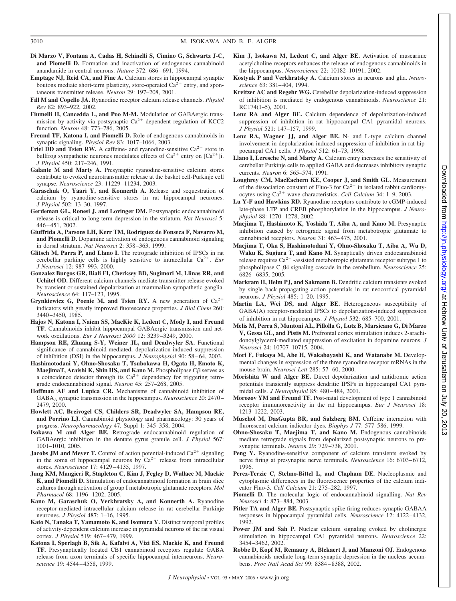- **Di Marzo V, Fontana A, Cadas H, Schinelli S, Cimino G, Schwartz J-C, and Piomelli D.** Formation and inactivation of endogenous cannabinoid anandamide in central neurons. *Nature* 372: 686 – 691, 1994.
- **Emptage NJ, Reid CA, and Fine A.** Calcium stores in hippocampal synaptic boutons mediate short-term plasticity, store-operated  $Ca^{2+}$  entry, and spontaneous transmitter release. *Neuron* 29: 197–208, 2001.
- **Fill M and Copello JA.** Ryanodine receptor calcium release channels. *Physiol Rev* 82: 893–922, 2002.
- **Fiumelli H, Cancedda L, and Poo M-M.** Modulation of GABAergic transmission by activity via postsynaptic  $Ca^{2+}$ -dependent regulation of KCC2 function. *Neuron* 48: 773–786, 2005.
- **Freund TF, Katona I, and Piomelli D.** Role of endogenous cannabinoids in synaptic signaling. *Physiol Rev* 83: 1017–1066, 2003.
- **Friel DD and Tsien RW.** A caffeine- and ryanodine-sensitive  $Ca^{2+}$  store in bullfrog sympathetic neurones modulates effects of  $Ca^{2+}$  entry on  $[Ca^{2+}]i$ . *J Physiol* 450: 217–246, 1991.
- **Galante M and Marty A.** Presynaptic ryanodine-sensitive calcium stores contribute to evoked neurotransmitter release at the basket cell-Purkinje cell synapse. *Neuroscience* 23: 11229 –11234, 2003.
- **Garaschuk O, Yaari Y, and Konnerth A.** Release and sequestration of calcium by ryanodine-sensitive stores in rat hippocampal neurones. *J Physiol* 502: 13–30, 1997.
- **Gerdeman GL, Ronesi J, and Lovinger DM.** Postsynaptic endocannabinoid release is critical to long-term depression in the striatum. *Nat Neurosci* 5: 446 – 451, 2002.
- **Giuffrida A, Parsons LH, Kerr TM, Rodriguez de Fonseca F, Navarro M, and Piomelli D.** Dopamine activation of endogenous cannabinoid signaling in dorsal striatum. *Nat Neurosci* 2: 358 –363, 1999.
- **Glitsch M, Parra P, and Llano I.** The retrograde inhibition of IPSCs in rat cerebellar purkinje cells is highly sensitive to intracellular  $Ca^{2+}$ . *Eur J Neurosci* 12: 987–993, 2000.
- **Gonzalez Burgos GR, Biali FI, Cherksey BD, Sugimori M, Llinas RR, and Uchitel OD.** Different calcium channels mediate transmitter release evoked by transient or sustained depolarization at mammalian sympathetic ganglia. *Neuroscience* 64: 117–123, 1995.
- **Grynkiewicz G, Poenie M, and Tsien RY.** A new generation of  $Ca^{2+}$ indicators with greatly improved fluorescence properties. *J Biol Chem* 260: 3440 –3450, 1985.
- **Hajos N, Katona I, Naiem SS, MacKie K, Ledent C, Mody I, and Freund TF.** Cannabinoids inhibit hippocampal GABAergic transmission and network oscillations. *Eur J Neurosci 2000* 12: 3239 –3249, 2000.
- **Hampson RE, Zhuang S-Y, Weiner JL, and Deadwyler SA.** Functional significance of cannabinoid-mediated, depolarization-induced suppression of inhibition (DSI) in the hippocampus. *J Neurophysiol* 90: 58 – 64, 2003.
- **Hashimotodani Y, Ohno-Shosaku T, Tsubokawa H, Ogata H, Emoto K, MaejimaT, Araishi K, Shin HS, and Kano M.** Phospholipase  $C\beta$  serves as a coincidence detector through its  $Ca^{2+}$  dependency for triggering retrograde endocannabinoid signal. *Neuron* 45: 257–268, 2005.
- **Hoffman AF and Lupica CR.** Mechanisms of cannabinoid inhibition of GABAA synaptic transmission in the hippocampus. *Neuroscience* 20: 2470 – 2479, 2000.
- **Howlett AC, Breivogel CS, Childers SR, Deadwyler SA, Hampson RE, and Porrino LJ.** Cannabinoid physiology and pharmacology: 30 years of progress. *Neuropharmacology* 47, Suppl 1: 345–358, 2004.
- **Isokawa M and Alger BE.** Retrograde endocannabinoid regulation of GABAergic inhibition in the dentate gyrus granule cell. *J Physiol* 567: 1001–1010, 2005.
- **Jacobs JM and Meyer T.** Control of action potential-induced  $Ca^{2+}$  signaling in the soma of hippocampal neurons by  $Ca^{2+}$  release from intracellular stores. *Neuroscience* 17: 4129 – 4135, 1997.
- **Jung KM, Mangieri R, Stapleton C, Kim J, Fegley D, Wallace M, Mackie K, and Piomelli D.** Stimulation of endocannabinoid formation in brain slice cultures through activation of group I metabotropic glutamate receptors. *Mol Pharmacol* 68: 1196 –1202, 2005.
- **Kano M, Garaschuk O, Verkhratsky A, and Konnerth A.** Ryanodine receptor-mediated intracellular calcium release in rat cerebellar Purkinje neurones. *J Physiol* 487: 1–16, 1995.
- **Kato N, Tanaka T, Yamamoto K, and Isomura Y.** Distinct temporal profiles of activity-dependent calcium increase in pyramidal neurons of the rat visual cortex. *J Physiol* 519: 467– 479, 1999.
- **Katona I, Sperlagh B, Sik A, Kafalvi A, Vizi ES, Mackie K, and Freund TF.** Presynaptically located CB1 cannabinoid receptors regulate GABA release from axon terminals of specific hippocampal interneurons. *Neuroscience* 19: 4544 – 4558, 1999.
- **Kim J, Isokawa M, Ledent C, and Alger BE.** Activation of muscarinic acetylcholine receptors enhances the release of endogenous cannabinoids in the hippocampus. *Neuroscience* 22: 10182–10191, 2002.
- **Kostyuk P and Verkhratsky A.** Calcium stores in neurons and glia. *Neuroscience* 63: 381– 404, 1994.
- **Kreitzer AC and Regehr WG.** Cerebellar depolarization-induced suppression of inhibition is mediated by endogenous cannabinoids. *Neuroscience* 21: RC174(1–5), 2001.
- **Lenz RA and Alger BE.** Calcium dependence of depolarization-induced suppression of inhibition in rat hippocampal CA1 pyramidal neurons. *J Physiol* 521: 147–157, 1999.
- **Lenz RA, Wagner JJ, and Alger BE.** N- and L-type calcium channel involvement in depolarization-induced suppression of inhibition in rat hippocampal CA1 cells. *J Physiol* 512: 61–73, 1998.
- **Llano I, Leresche N, and Marty A.** Calcium entry increases the sensitivity of cerebellar Purkinje cells to applied GABA and decreases inhibitory synaptic currents. *Neuron* 6: 565–574, 1991.
- **Loughrey CM, MacEachern KE, Cooper J, and Smith GL.** Measurement of the dissociation constant of Fluo-3 for  $Ca^{2+}$  in isolated rabbit cardiomyocytes using  $Ca^{2+}$  wave characteristics. *Cell Calcium* 34: 1–9, 2003.
- **Lu Y-F and Hawkins RD.** Ryanodine receptors contribute to cGMP-induced late-phase LTP and CREB phosphorylation in the hippocampus. *J Neurophysiol* 88: 1270 –1278, 2002.
- **Maejima T, Hashimoto K, Yoshida T, Aiba A, and Kano M.** Presynaptic inhibition caused by retrograde signal from metabotropic glutamate to cannabinoid receptors. *Neuron* 31: 463– 475, 2001.
- **Maejima T, Oka S, Hashimotodani Y, Ohno-Shosaku T, Aiba A, Wu D, Waku K, Sugiura T, and Kano M.** Synaptically driven endocannabinoid release requires  $Ca^{2+}$  -assisted metabotropic glutamate receptor subtype 1 to phospholipase C 4 signaling cascade in the cerebellum. *Neuroscience* 25: 6826 – 6835, 2005.
- **Markram H, Helm PJ, and Sakmann B.** Dendritic calcium transients evoked by single back-propagating action potentials in rat neocortical pyramidal neurons. *J Physiol* 485: 1–20, 1995.
- **Martin LA, Wei DS, and Alger BE.** Heterogeneous susceptibility of GABA(A) receptor-mediated IPSCs to depolarization-induced suppression of inhibition in rat hippocampus. *J Physiol* 532: 685–700, 2001.
- **Melis M, Perra S, Muntoni AL, Pillolla G, Lutz B, Marsicano G, Di Marzo V, Gessa GL, and Pistis M.** Prefrontal cortex stimulation induces 2-arachidonoylglycerol-mediated suppression of excitation in dopamine neurons. *J Neurosci* 24: 10707–10715, 2004.
- **Mori F, Fukaya M, Abe H, Wakabayashi K, and Watanabe M.** Developmental changes in expression of the three ryanodine receptor mRNAs in the mouse brain. *Neurosci Lett* 285: 57– 60, 2000.
- **Morishita W and Alger BE.** Direct depolarization and antidromic action potentials transiently suppress dendritic IPSPs in hippocampal CA1 pyramidal cells. *J Neurophysiol* 85: 480 – 484, 2001.
- **Morozov YM and Freund TF.** Post-natal development of type 1 cannabinoid receptor immunoreactivity in the rat hippocampus. *Eur J Neurosci* 18: 1213–1222, 2003.
- **Muschol M, DasGupta BR, and Salzberg BM.** Caffeine interaction with fluorescent calcium indicator dyes. *Biophys J* 77: 577–586, 1999.
- **Ohno-Shosaku T, Maejima T, and Kano M.** Endogenous cannabinoids mediate retrograde signals from depolarized postsynaptic neurons to presynaptic terminals. *Neuron* 29: 729 –738, 2001.
- Peng Y. Ryanodine-sensitive component of calcium transients evoked by nerve firing at presynaptic nerve terminals. *Neuroscience* 16: 6703-6712, 1996.
- **Perez-Terzic C, Stehno-Bittel L, and Clapham DE.** Nucleoplasmic and cytoplasmic differences in the fluorescence properties of the calcium indicator Fluo-3. *Cell Calcium* 21: 275–282, 1997.
- **Piomelli D.** The molecular logic of endocannabinoid signalling. *Nat Rev Neurosci* 4: 873– 884, 2003.
- **Pitler TA and Alger BE.** Postsynaptic spike firing reduces synaptic GABAA responses in hippocampal pyramidal cells. *Neuroscience* 12: 4122– 4132, 1992.
- **Power JM and Sah P.** Nuclear calcium signaling evoked by cholinergic stimulation in hippocampal CA1 pyramidal neurons. *Neuroscience* 22: 3454 –3462, 2002.
- **Robbe D, Kopf M, Remaury A, Blckaert J, and Manzoni OJ.** Endogenous cannabinoids mediate long-term synaptic depression in the nucleus accumbens. *Proc Natl Acad Sci* 99: 8384 – 8388, 2002.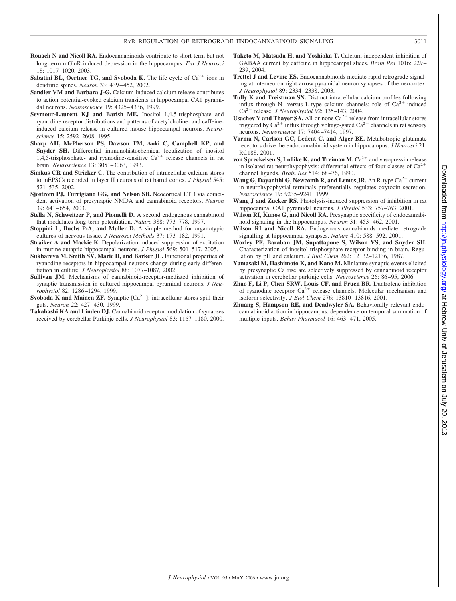- **Rouach N and Nicoll RA.** Endocannabinoids contribute to short-term but not long-term mGluR-induced depression in the hippocampus. *Eur J Neurosci* 18: 1017–1020, 2003.
- **Sabatini BL, Oertner TG, and Svoboda K.** The life cycle of  $Ca^{2+}$  ions in dendritic spines. *Neuron* 33: 439 – 452, 2002.
- **Sandler VM and Barbara J-G.** Calcium-induced calcium release contributes to action potential-evoked calcium transients in hippocampal CA1 pyramidal neurons. *Neuroscience* 19: 4325– 4336, 1999.
- **Seymour-Laurent KJ and Barish ME.** Inositol 1,4,5-trisphosphate and ryanodine receptor distributions and patterns of acetylcholine- and caffeineinduced calcium release in cultured mouse hippocampal neurons. *Neuroscience* 15: 2592–2608, 1995.
- **Sharp AH, McPherson PS, Dawson TM, Aoki C, Campbell KP, and Snyder SH.** Differential immunohistochemical localization of inositol 1,4,5-trisphosphate- and ryanodine-sensitive  $Ca^{2+}$  release channels in rat brain. *Neuroscience* 13: 3051–3063, 1993.
- **Simkus CR and Stricker C.** The contribution of intracellular calcium stores to mEPSCs recorded in layer II neurons of rat barrel cortex. *J Physiol* 545: 521–535, 2002.
- **Sjostrom PJ, Turrigiano GG, and Nelson SB.** Neocortical LTD via coincident activation of presynaptic NMDA and cannabinoid receptors. *Neuron* 39: 641– 654, 2003.
- **Stella N, Schweitzer P, and Piomelli D.** A second endogenous cannabinoid that modulates long-term potentiation. *Nature* 388: 773–778, 1997.
- **Stoppini L, Buchs P-A, and Muller D.** A simple method for organotypic cultures of nervous tissue. *J Neurosci Methods* 37: 173–182, 1991.
- **Straiker A and Mackie K.** Depolarization-induced suppression of excitation in murine autaptic hippocampal neurons. *J Physiol* 569: 501–517, 2005.
- **Sukhareva M, Smith SV, Maric D, and Barker JL.** Functional properties of ryanodine receptors in hippocampal neurons change during early differentiation in culture. *J Neurophysiol* 88: 1077–1087, 2002.
- **Sullivan JM.** Mechanisms of cannabinoid-receptor-mediated inhibition of synaptic transmission in cultured hippocampal pyramidal neurons. *J Neurophysiol* 82: 1286 –1294, 1999.
- **Svoboda K and Mainen ZF.** Synaptic  $[Ca^{2+}]$ : intracellular stores spill their guts. *Neuron* 22: 427– 430, 1999.
- **Takahashi KA and Linden DJ.** Cannabinoid receptor modulation of synapses received by cerebellar Purkinje cells. *J Neurophysiol* 83: 1167–1180, 2000.
- **Taketo M, Matsuda H, and Yoshioka T.** Calcium-independent inhibition of GABAA current by caffeine in hippocampal slices. *Brain Res* 1016: 229 – 239, 2004.
- **Trettel J and Levine ES.** Endocannabinoids mediate rapid retrograde signaling at interneuron right-arrow pyramidal neuron synapses of the neocortex. *J Neurophysiol* 89: 2334 –2338, 2003.
- **Tully K and Treistman SN.** Distinct intracellular calcium profiles following influx through N- versus L-type calcium channels: role of  $Ca^{2+}$ -induced Ca<sup>2+</sup> release. *J Neurophysiol* 92: 135–143, 2004.
- **Usachev Y and Thayer SA.** All-or-none  $Ca^{2+}$  release from intracellular stores triggered by  $Ca^{2+}$  influx through voltage-gated  $Ca^{2+}$  channels in rat sensory neurons. *Neuroscience* 17: 7404 –7414, 1997.
- **Varma N, Carlson GC, Ledent C, and Alger BE.** Metabotropic glutamate receptors drive the endocannabinoid system in hippocampus. *J Neurosci* 21: RC188, 2001.
- **von Spreckelsen S, Lollike K, and Treiman M.**  $Ca^{2+}$  and vasopressin release in isolated rat neurohypophysis: differential effects of four classes of  $Ca^{2+}$ channel ligands. *Brain Res* 514: 68 –76, 1990.
- **Wang G, Dayanithi G, Newcomb R, and Lemos JR.** An R-type  $Ca^{2+}$  current in neurohypophysial terminals preferentially regulates oxytocin secretion. *Neuroscience* 19: 9235–9241, 1999.
- **Wang J and Zucker RS.** Photolysis-induced suppression of inhibition in rat hippocampal CA1 pyramidal neurons. *J Physiol* 533: 757–763, 2001.
- **Wilson RI, Kunos G, and Nicoll RA.** Presynaptic specificity of endocannabinoid signaling in the hippocampus. *Neuron* 31: 453– 462, 2001.
- **Wilson RI and Nicoll RA.** Endogenous cannabinoids mediate retrograde signalling at hippocampal synapses. *Nature* 410: 588 –592, 2001.
- **Worley PF, Baraban JM, Supattapone S, Wilson VS, and Snyder SH.** Characterization of inositol trisphosphate receptor binding in brain. Regulation by pH and calcium. *J Biol Chem* 262: 12132–12136, 1987.
- **Yamasaki M, Hashimoto K, and Kano M.** Miniature synaptic events elicited by presynaptic Ca rise are selectively suppressed by cannabinoid receptor activation in cerebellar purkinje cells. *Neuroscience* 26: 86 –95, 2006.
- **Zhao F, Li P, Chen SRW, Louis CF, and Fruen BR.** Dantrolene inhibition of ryanodine receptor  $Ca^{2+}$  release channels. Molecular mechanism and isoform selectivity. *J Biol Chem* 276: 13810 –13816, 2001.
- **Zhuang S, Hampson RE, and Deadwyler SA.** Behaviorally relevant endocannabinoid action in hippocampus: dependence on temporal summation of multiple inputs. *Behav Pharmacol* 16: 463– 471, 2005.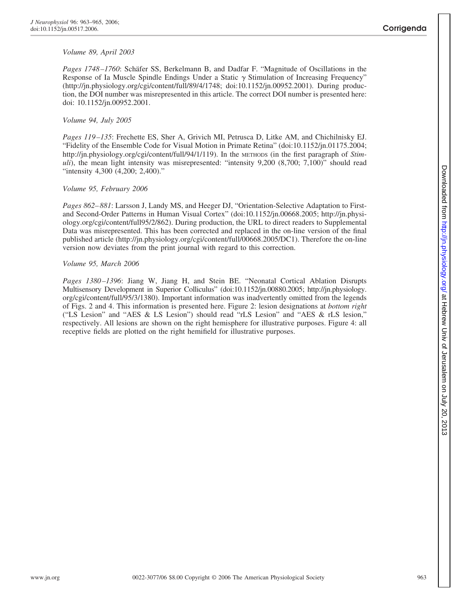# *Volume 89, April 2003*

Pages 1748–1760: Schäfer SS, Berkelmann B, and Dadfar F. "Magnitude of Oscillations in the Response of Ia Muscle Spindle Endings Under a Static  $\gamma$  Stimulation of Increasing Frequency" (http://jn.physiology.org/cgi/content/full/89/4/1748; doi:10.1152/jn.00952.2001). During production, the DOI number was misrepresented in this article. The correct DOI number is presented here: doi: 10.1152/jn.00952.2001.

# *Volume 94, July 2005*

*Pages 119 –135*: Frechette ES, Sher A, Grivich MI, Petrusca D, Litke AM, and Chichilnisky EJ. "Fidelity of the Ensemble Code for Visual Motion in Primate Retina" (doi:10.1152/jn.01175.2004; http://jn.physiology.org/cgi/content/full/94/1/119). In the METHODS (in the first paragraph of *Stimuli*), the mean light intensity was misrepresented: "intensity 9,200 (8,700; 7,100)" should read "intensity 4,300 (4,200; 2,400)."

# *Volume 95, February 2006*

*Pages 862– 881*: Larsson J, Landy MS, and Heeger DJ, "Orientation-Selective Adaptation to Firstand Second-Order Patterns in Human Visual Cortex" (doi:10.1152/jn.00668.2005; http://jn.physiology.org/cgi/content/full95/2/862). During production, the URL to direct readers to Supplemental Data was misrepresented. This has been corrected and replaced in the on-line version of the final published article (http://jn.physiology.org/cgi/content/full/00668.2005/DC1). Therefore the on-line version now deviates from the print journal with regard to this correction.

## *Volume 95, March 2006*

*Pages 1380 –1396*: Jiang W, Jiang H, and Stein BE. "Neonatal Cortical Ablation Disrupts Multisensory Development in Superior Colliculus" (doi:10.1152/jn.00880.2005; http://jn.physiology. org/cgi/content/full/95/3/1380). Important information was inadvertently omitted from the legends of Figs. 2 and 4. This information is presented here. Figure 2: lesion designations at *bottom right* ("LS Lesion" and "AES & LS Lesion") should read "rLS Lesion" and "AES & rLS lesion," respectively. All lesions are shown on the right hemisphere for illustrative purposes. Figure 4: all receptive fields are plotted on the right hemifield for illustrative purposes.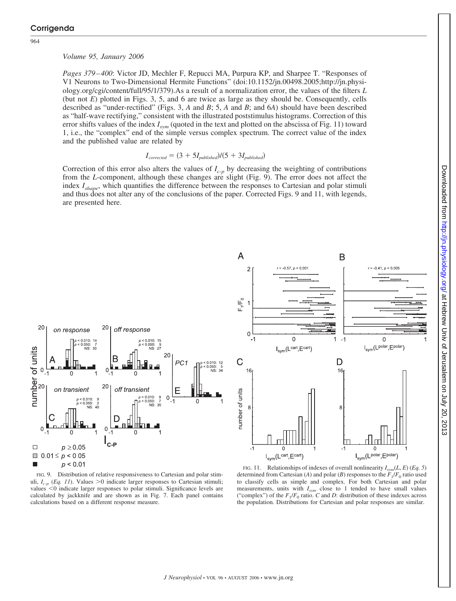964

### *Volume 95, January 2006*

*Pages 379 – 400*: Victor JD, Mechler F, Repucci MA, Purpura KP, and Sharpee T. "Responses of V1 Neurons to Two-Dimensional Hermite Functions" (doi:10.1152/jn.00498.2005;http://jn.physiology.org/cgi/content/full/95/1/379).As a result of a normalization error, the values of the filters *L* (but not *E*) plotted in Figs. 3, 5, and 6 are twice as large as they should be. Consequently, cells described as "under-rectified" (Figs. 3, *A* and *B*; 5, *A* and *B*; and 6*A*) should have been described as "half-wave rectifying," consistent with the illustrated poststimulus histograms. Correction of this error shifts values of the index *Isym* (quoted in the text and plotted on the abscissa of Fig. 11) toward 1, i.e., the "complex" end of the simple versus complex spectrum. The correct value of the index and the published value are related by

$$
I_{corrected} = (3 + 5I_{published})/(5 + 3I_{published})
$$

Correction of this error also alters the values of  $I_{c-p}$  by decreasing the weighting of contributions from the *L*-component, although these changes are slight (Fig. 9). The error does not affect the index *Ishape*, which quantifies the difference between the responses to Cartesian and polar stimuli and thus does not alter any of the conclusions of the paper. Corrected Figs. 9 and 11, with legends, are presented here.





FIG. 9. Distribution of relative responsiveness to Cartesian and polar stimuli,  $I_{c-p}$  (*Eq. 11*). Values >0 indicate larger responses to Cartesian stimuli; values  $<$ 0 indicate larger responses to polar stimuli. Significance levels are calculated by jackknife and are shown as in Fig. 7. Each panel contains calculations based on a different response measure.

FIG. 11. Relationships of indexes of overall nonlinearity  $I_{sym}(L, E)$  (*Eq. 5*) determined from Cartesian (*A*) and polar (*B*) responses to the  $F_1/F_0$  ratio used to classify cells as simple and complex. For both Cartesian and polar measurements, units with  $I_{sym}$  close to 1 tended to have small values ("complex") of the  $F_1/F_0$  ratio. *C* and *D*: distribution of these indexes across the population. Distributions for Cartesian and polar responses are similar.